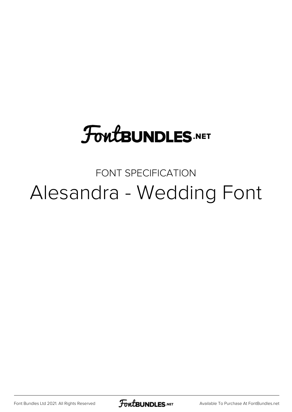## **FoutBUNDLES.NET**

## FONT SPECIFICATION Alesandra - Wedding Font

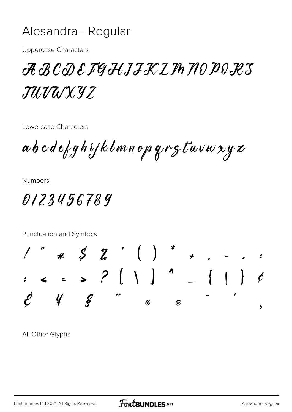## Alesandra - Regular

**Uppercase Characters** 

 ${\mathcal{A}}\,{\mathcal{B}}\,{\mathcal{C}}{\mathcal{D}}\,{\mathcal{E}}\,{\mathcal{F}}\!{\mathcal{G}}\,{\mathcal{H}} J{\mathcal{J}}{\mathcal{K}}{\mathcal{L}}\,I\!\!\!\!I\!\!\!I\,{\mathcal{H}}{\mathcal{D}}\,{\mathcal{D}}{\mathcal{E}}{\mathcal{K}}{\mathcal{S}}$ TUVUXYZ

Lowercase Characters

abcdefghijklmnopqrstuvwxyz

**Numbers** 

0123456789

Punctuation and Symbols



All Other Glyphs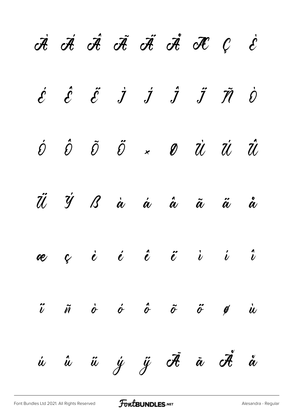|  |  |  | A A A A A A A C                                                                                                                                                                                                     |  |
|--|--|--|---------------------------------------------------------------------------------------------------------------------------------------------------------------------------------------------------------------------|--|
|  |  |  | $\acute{\mathcal{E}}$ $\acute{\mathcal{E}}$ $\acute{\mathcal{I}}$ $\acute{J}$ $\acute{J}$ $\ddot{\mathcal{J}}$ $\ddot{\mathcal{J}}$ $\ddot{\mathcal{J}}$                                                            |  |
|  |  |  | $\begin{array}{ccccc} \acute{\mathrm{c}} & \hat{\mathrm{c}} & \hat{\mathrm{c}} & \hat{\mathrm{c}} & \times & \mathcal{O} & \dot{\mathrm{c}} & \dot{\mathrm{c}} & \dot{\mathrm{c}} & \dot{\mathrm{c}} \ \end{array}$ |  |
|  |  |  | Ü Ý B à á â ã ã å                                                                                                                                                                                                   |  |
|  |  |  | æç è é ê ë i i î                                                                                                                                                                                                    |  |
|  |  |  | $\ddot{\theta}$ $\ddot{\theta}$ $\dot{\theta}$ $\ddot{\theta}$ $\ddot{\theta}$ $\ddot{\theta}$ $\dot{\theta}$ $\ddot{\theta}$                                                                                       |  |
|  |  |  | ú û ü ý ÿ Ā ā Ā å                                                                                                                                                                                                   |  |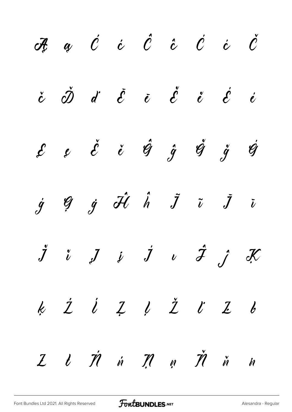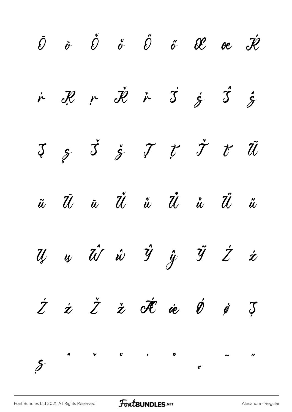$\check{\mathscr{O}}$   $\check{\mathscr{O}}$   $\check{\mathscr{O}}$   $\check{\mathscr{O}}$   $\check{\mathscr{O}}$   $\check{\mathscr{O}}$   $\check{\mathscr{O}}$   $\mathscr{C}$   $\mathscr{O}$   $\check{\mathscr{H}}$  $\acute{\r{r}}$   $\ddot{\mathcal{R}}$   $\acute{\r{r}}$   $\dot{\mathcal{S}}$   $\acute{\r{r}}$   $\dot{\mathcal{S}}$   $\dot{\mathcal{S}}$   $\dot{\mathcal{S}}$  $\begin{array}{ccccc} \mathfrak{Z} & \mathfrak{z} & \mathfrak{z} & \mathfrak{z} & \mathfrak{z} & \mathfrak{z} & \mathfrak{z} & \mathfrak{z} & \mathfrak{z} & \mathfrak{z} & \mathfrak{z} & \mathfrak{z} & \mathfrak{z} & \mathfrak{z} & \mathfrak{z} & \mathfrak{z} & \mathfrak{z} & \mathfrak{z} & \mathfrak{z} & \mathfrak{z} & \mathfrak{z} & \mathfrak{z} & \mathfrak{z} & \mathfrak{z} & \mathfrak{z} & \mathfrak{z} & \mathfrak$ ũ Ū ū Ŭ ŭ Ů ů Ű ű  $\vec{y}$   $\vec{y}$   $\vec{y}$   $\vec{y}$   $\vec{y}$   $\vec{z}$   $\vec{z}$  $\dot{Z}$   $\dot{z}$   $\dot{Z}$   $\dot{\sigma}$   $\dot{\sigma}$   $\dot{\sigma}$   $\dot{\sigma}$   $\ddot{\sigma}$   $\ddot{\sigma}$  $\mathcal{S}$  $\overline{a}$   $\overline{a}$   $\overline{a}$   $\overline{a}$   $\overline{a}$   $\overline{a}$   $\overline{a}$   $\overline{a}$   $\overline{a}$   $\overline{a}$   $\overline{a}$   $\overline{a}$   $\overline{a}$   $\overline{a}$   $\overline{a}$   $\overline{a}$   $\overline{a}$   $\overline{a}$   $\overline{a}$   $\overline{a}$   $\overline{a}$   $\overline{a}$   $\overline{a}$   $\overline{a}$   $\overline{$  $\frac{1}{c}$   $\frac{1}{c}$